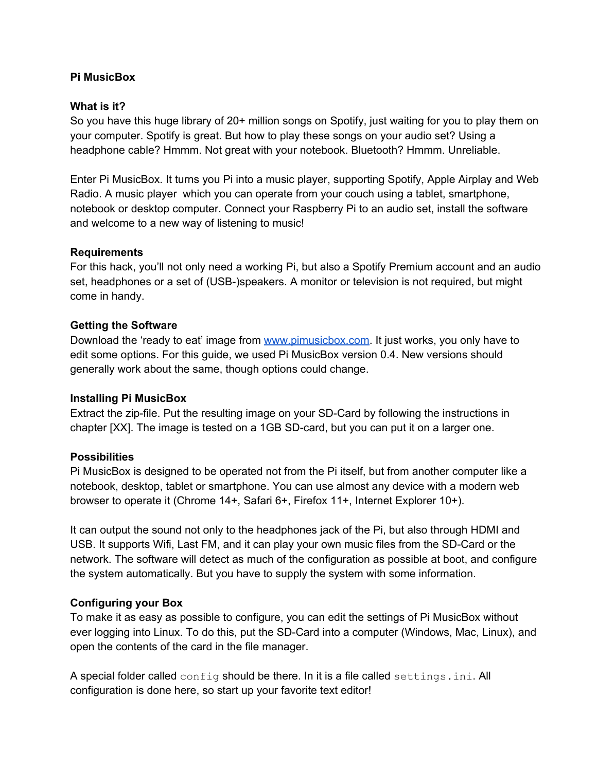#### **Pi MusicBox**

#### **What is it?**

So you have this huge library of 20+ million songs on Spotify, just waiting for you to play them on your computer. Spotify is great. But how to play these songs on your audio set? Using a headphone cable? Hmmm. Not great with your notebook. Bluetooth? Hmmm. Unreliable.

Enter Pi MusicBox. It turns you Pi into a music player, supporting Spotify, Apple Airplay and Web Radio. A music player which you can operate from your couch using a tablet, smartphone, notebook or desktop computer. Connect your Raspberry Pi to an audio set, install the software and welcome to a new way of listening to music!

#### **Requirements**

For this hack, you'll not only need a working Pi, but also a Spotify Premium account and an audio set, headphones or a set of (USB-)speakers. A monitor or television is not required, but might come in handy.

#### **Getting the Software**

Download the 'ready to eat' image from [www.pimusicbox.com.](http://www.google.com/url?q=http%3A%2F%2Fwww.pimusicbox.com&sa=D&sntz=1&usg=AFQjCNFi2F8QAoQ2C-bZx7uwXBMeZtr-Qw) It just works, you only have to edit some options. For this guide, we used Pi MusicBox version 0.4. New versions should generally work about the same, though options could change.

#### **Installing Pi MusicBox**

Extract the zip-file. Put the resulting image on your SD-Card by following the instructions in chapter [XX]. The image is tested on a 1GB SD-card, but you can put it on a larger one.

#### **Possibilities**

Pi MusicBox is designed to be operated not from the Pi itself, but from another computer like a notebook, desktop, tablet or smartphone. You can use almost any device with a modern web browser to operate it (Chrome 14+, Safari 6+, Firefox 11+, Internet Explorer 10+).

It can output the sound not only to the headphones jack of the Pi, but also through HDMI and USB. It supports Wifi, Last FM, and it can play your own music files from the SD-Card or the network. The software will detect as much of the configuration as possible at boot, and configure the system automatically. But you have to supply the system with some information.

## **Configuring your Box**

To make it as easy as possible to configure, you can edit the settings of Pi MusicBox without ever logging into Linux. To do this, put the SD-Card into a computer (Windows, Mac, Linux), and open the contents of the card in the file manager.

A special folder called config should be there. In it is a file called settings.ini. All configuration is done here, so start up your favorite text editor!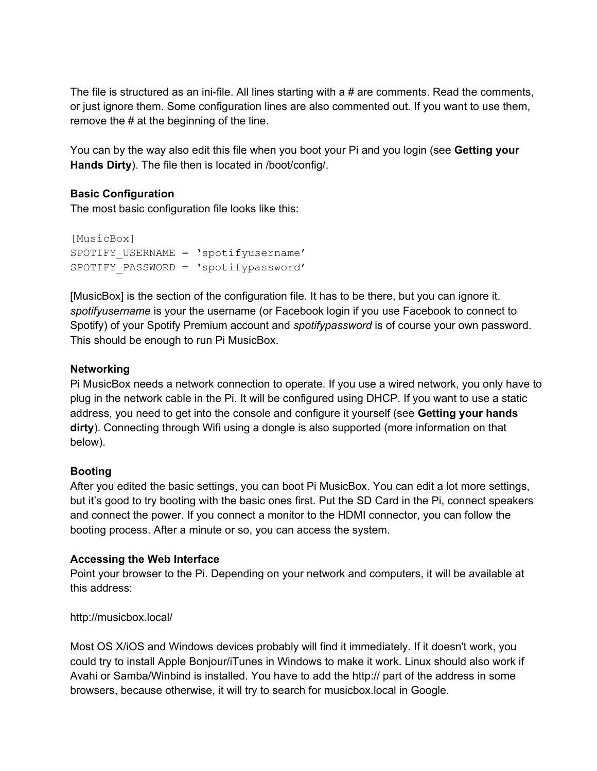The file is structured as an ini-file. All lines starting with a  $\#$  are comments. Read the comments, or just ignore them. Some configuration lines are also commented out. If you want to use them, remove the # at the beginning of the line.

You can by the way also edit this file when you boot your Pi and you login (see **Getting your Hands Dirty**). The file then is located in /boot/config/.

## **Basic Configuration**

The most basic configuration file looks like this:

```
[MusicBox]
SPOTIFY USERNAME = 'spotifyusername'
SPOTIFY_PASSWORD = 'spotifypassword'
```
[MusicBox] is the section of the configuration file. It has to be there, but you can ignore it. *spotifyusername* is your the username (or Facebook login if you use Facebook to connect to Spotify) of your Spotify Premium account and *spotifypassword* is of course your own password. This should be enough to run Pi MusicBox.

## **Networking**

Pi MusicBox needs a network connection to operate. If you use a wired network, you only have to plug in the network cable in the Pi. It will be configured using DHCP. If you want to use a static address, you need to get into the console and configure it yourself (see **Getting your hands dirty**). Connecting through Wifi using a dongle is also supported (more information on that below).

# **Booting**

After you edited the basic settings, you can boot Pi MusicBox. You can edit a lot more settings, but it's good to try booting with the basic ones first. Put the SD Card in the Pi, connect speakers and connect the power. If you connect a monitor to the HDMI connector, you can follow the booting process. After a minute or so, you can access the system.

## **Accessing the Web Interface**

Point your browser to the Pi. Depending on your network and computers, it will be available at this address:

## http://musicbox.local/

Most OS X/iOS and Windows devices probably will find it immediately. If it doesn't work, you could try to install Apple Bonjour/iTunes in Windows to make it work. Linux should also work if Avahi or Samba/Winbind is installed. You have to add the http:// part of the address in some browsers, because otherwise, it will try to search for musicbox.local in Google.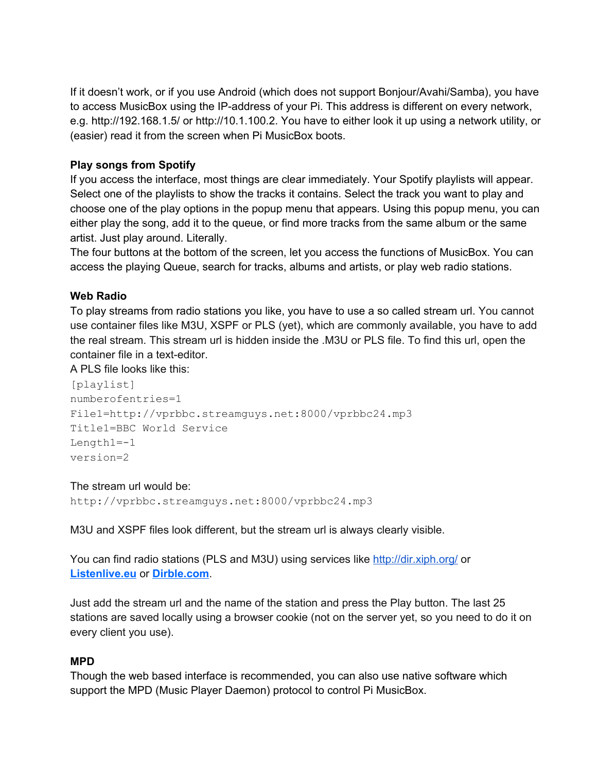If it doesn't work, or if you use Android (which does not support Bonjour/Avahi/Samba), you have to access MusicBox using the IP-address of your Pi. This address is different on every network, e.g. http://192.168.1.5/ or http://10.1.100.2. You have to either look it up using a network utility, or (easier) read it from the screen when Pi MusicBox boots.

## **Play songs from Spotify**

If you access the interface, most things are clear immediately. Your Spotify playlists will appear. Select one of the playlists to show the tracks it contains. Select the track you want to play and choose one of the play options in the popup menu that appears. Using this popup menu, you can either play the song, add it to the queue, or find more tracks from the same album or the same artist. Just play around. Literally.

The four buttons at the bottom of the screen, let you access the functions of MusicBox. You can access the playing Queue, search for tracks, albums and artists, or play web radio stations.

## **Web Radio**

To play streams from radio stations you like, you have to use a so called stream url. You cannot use container files like M3U, XSPF or PLS (yet), which are commonly available, you have to add the real stream. This stream url is hidden inside the .M3U or PLS file. To find this url, open the container file in a text-editor.

A PLS file looks like this:

[playlist] numberofentries=1 File1=http://vprbbc.streamguys.net:8000/vprbbc24.mp3 Title1=BBC World Service  $Lenath1=-1$ version=2

## The stream url would be:

http://vprbbc.streamguys.net:8000/vprbbc24.mp3

M3U and XSPF files look different, but the stream url is always clearly visible.

You can find radio stations (PLS and M3U) using services like [http://dir.xiph.org/](http://www.google.com/url?q=http%3A%2F%2Fdir.xiph.org%2F&sa=D&sntz=1&usg=AFQjCNE1W9JaYoP7c4_94x3M2jsFBoC0rQ) or **[Listenlive.eu](http://www.google.com/url?q=http%3A%2F%2Fwww.listenlive.eu%2F&sa=D&sntz=1&usg=AFQjCNFhEON4HZ9pZ9_dPBRlDNDMdH2arg)** or **[Dirble.com](http://www.google.com/url?q=http%3A%2F%2Fwww.dirble.com%2F&sa=D&sntz=1&usg=AFQjCNGKGxrvUaXKLMgMpSiX9ISFyGDNOw)**.

Just add the stream url and the name of the station and press the Play button. The last 25 stations are saved locally using a browser cookie (not on the server yet, so you need to do it on every client you use).

# **MPD**

Though the web based interface is recommended, you can also use native software which support the MPD (Music Player Daemon) protocol to control Pi MusicBox.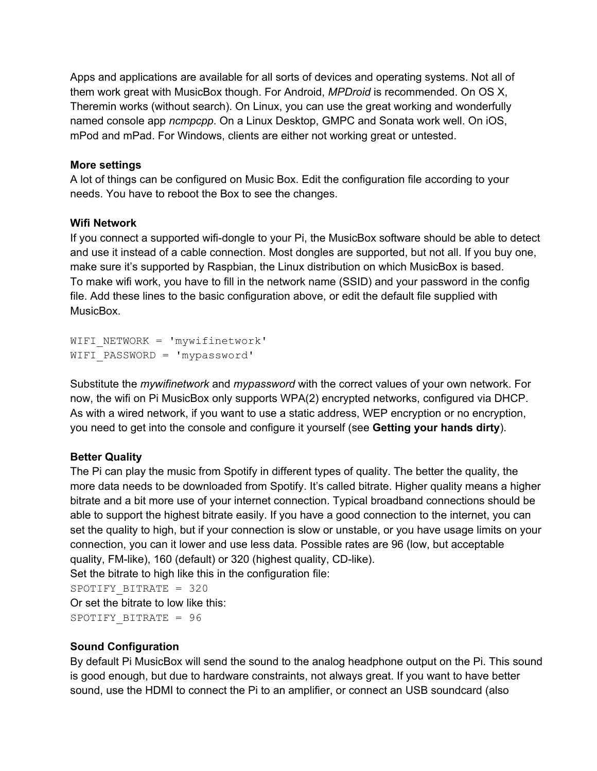Apps and applications are available for all sorts of devices and operating systems. Not all of them work great with MusicBox though. For Android, *MPDroid* is recommended. On OS X, Theremin works (without search). On Linux, you can use the great working and wonderfully named console app *ncmpcpp*. On a Linux Desktop, GMPC and Sonata work well. On iOS, mPod and mPad. For Windows, clients are either not working great or untested.

## **More settings**

A lot of things can be configured on Music Box. Edit the configuration file according to your needs. You have to reboot the Box to see the changes.

## **Wifi Network**

If you connect a supported wifi-dongle to your Pi, the MusicBox software should be able to detect and use it instead of a cable connection. Most dongles are supported, but not all. If you buy one, make sure it's supported by Raspbian, the Linux distribution on which MusicBox is based. To make wifi work, you have to fill in the network name (SSID) and your password in the config file. Add these lines to the basic configuration above, or edit the default file supplied with MusicBox.

```
WIFI_NETWORK = 'mywifinetwork'
WIFI_PASSWORD = 'mypassword'
```
Substitute the *mywifinetwork* and *mypassword* with the correct values of your own network. For now, the wifi on Pi MusicBox only supports WPA(2) encrypted networks, configured via DHCP. As with a wired network, if you want to use a static address, WEP encryption or no encryption, you need to get into the console and configure it yourself (see **Getting your hands dirty**).

# **Better Quality**

The Pi can play the music from Spotify in different types of quality. The better the quality, the more data needs to be downloaded from Spotify. It's called bitrate. Higher quality means a higher bitrate and a bit more use of your internet connection. Typical broadband connections should be able to support the highest bitrate easily. If you have a good connection to the internet, you can set the quality to high, but if your connection is slow or unstable, or you have usage limits on your connection, you can it lower and use less data. Possible rates are 96 (low, but acceptable quality, FM-like), 160 (default) or 320 (highest quality, CD-like). Set the bitrate to high like this in the configuration file:

SPOTIFY\_BITRATE = 320 Or set the bitrate to low like this: SPOTIFY\_BITRATE = 96

## **Sound Configuration**

By default Pi MusicBox will send the sound to the analog headphone output on the Pi. This sound is good enough, but due to hardware constraints, not always great. If you want to have better sound, use the HDMI to connect the Pi to an amplifier, or connect an USB soundcard (also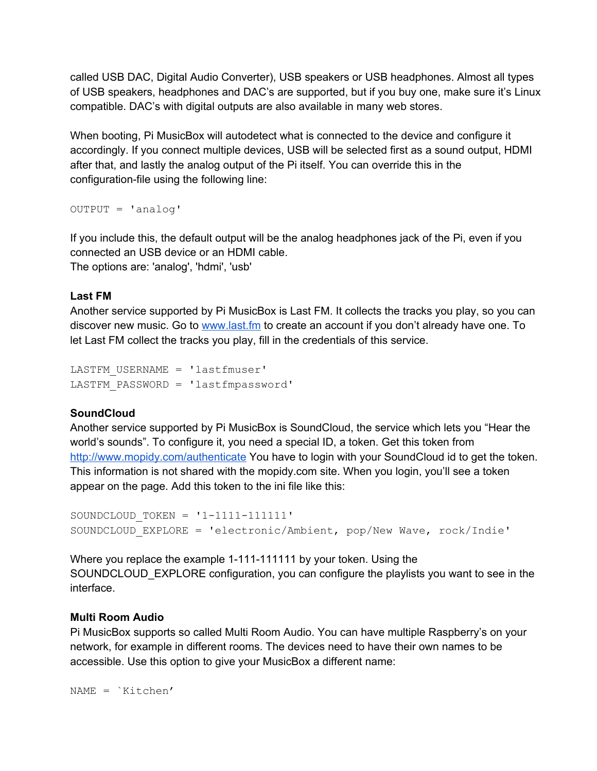called USB DAC, Digital Audio Converter), USB speakers or USB headphones. Almost all types of USB speakers, headphones and DAC's are supported, but if you buy one, make sure it's Linux compatible. DAC's with digital outputs are also available in many web stores.

When booting, Pi MusicBox will autodetect what is connected to the device and configure it accordingly. If you connect multiple devices, USB will be selected first as a sound output, HDMI after that, and lastly the analog output of the Pi itself. You can override this in the configuration-file using the following line:

OUTPUT = 'analog'

If you include this, the default output will be the analog headphones jack of the Pi, even if you connected an USB device or an HDMI cable. The options are: 'analog', 'hdmi', 'usb'

#### **Last FM**

Another service supported by Pi MusicBox is Last FM. It collects the tracks you play, so you can discover new music. Go to [www.last.fm](http://www.google.com/url?q=http%3A%2F%2Fwww.last.fm&sa=D&sntz=1&usg=AFQjCNFjms1dSCPalJrBQMMLHyKcytBPoA) to create an account if you don't already have one. To let Last FM collect the tracks you play, fill in the credentials of this service.

```
LASTFM_USERNAME = 'lastfmuser'
LASTFM_PASSWORD = 'lastfmpassword'
```
#### **SoundCloud**

Another service supported by Pi MusicBox is SoundCloud, the service which lets you "Hear the world's sounds". To configure it, you need a special ID, a token. Get this token from [http://www.mopidy.com/authenticate](http://www.google.com/url?q=http%3A%2F%2Fwww.mopidy.com%2Fauthenticate&sa=D&sntz=1&usg=AFQjCNFOmpBGPytjz2lqYU9P7qNkD3yEgw) You have to login with your SoundCloud id to get the token. This information is not shared with the mopidy.com site. When you login, you'll see a token appear on the page. Add this token to the ini file like this:

```
SOUNDCLOUD TOKEN = '1-1111-111111'SOUNDCLOUD_EXPLORE = 'electronic/Ambient, pop/New Wave, rock/Indie'
```
Where you replace the example 1-111-1111111 by your token. Using the SOUNDCLOUD\_EXPLORE configuration, you can configure the playlists you want to see in the interface.

#### **Multi Room Audio**

Pi MusicBox supports so called Multi Room Audio. You can have multiple Raspberry's on your network, for example in different rooms. The devices need to have their own names to be accessible. Use this option to give your MusicBox a different name:

NAME = `Kitchen'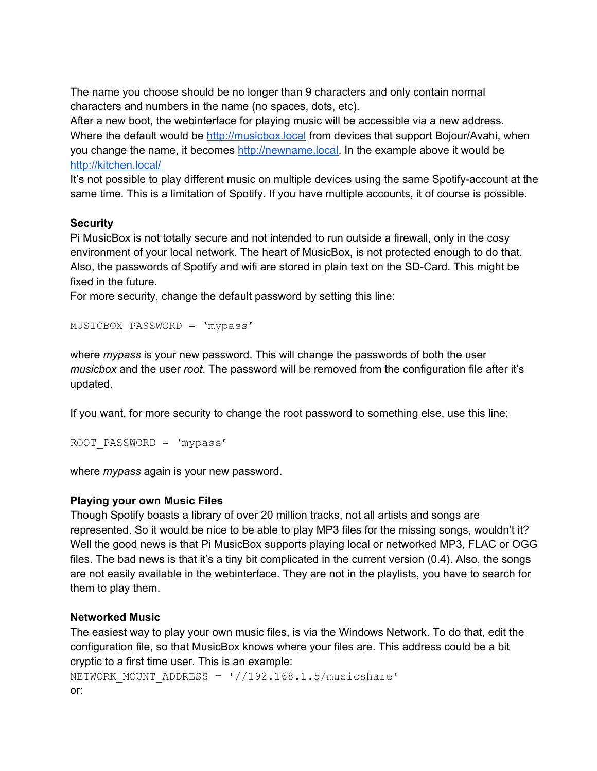The name you choose should be no longer than 9 characters and only contain normal characters and numbers in the name (no spaces, dots, etc).

After a new boot, the webinterface for playing music will be accessible via a new address. Where the default would be [http://musicbox.local](http://www.google.com/url?q=http%3A%2F%2Fmusicbox.local&sa=D&sntz=1&usg=AFQjCNHqQFY6IF6yvs4JK5P__ucqVvuYrA) from devices that support Bojour/Avahi, when you change the name, it becomes [http://newname.local](http://www.google.com/url?q=http%3A%2F%2Fnewname.local&sa=D&sntz=1&usg=AFQjCNGlOn-cxk-2sxV6gz34V1JcCXXAYQ). In the example above it would be [http://kitchen.local/](http://www.google.com/url?q=http%3A%2F%2Fkitchen.local%2F&sa=D&sntz=1&usg=AFQjCNFDFAY_d6X0RX0uHnlhADf3qRvlXw)

It's not possible to play different music on multiple devices using the same Spotify-account at the same time. This is a limitation of Spotify. If you have multiple accounts, it of course is possible.

#### **Security**

Pi MusicBox is not totally secure and not intended to run outside a firewall, only in the cosy environment of your local network. The heart of MusicBox, is not protected enough to do that. Also, the passwords of Spotify and wifi are stored in plain text on the SD-Card. This might be fixed in the future.

For more security, change the default password by setting this line:

```
MUSICBOX_PASSWORD = 'mypass'
```
where *mypass* is your new password. This will change the passwords of both the user *musicbox* and the user *root*. The password will be removed from the configuration file after it's updated.

If you want, for more security to change the root password to something else, use this line:

```
ROOT_PASSWORD = 'mypass'
```
where *mypass* again is your new password.

## **Playing your own Music Files**

Though Spotify boasts a library of over 20 million tracks, not all artists and songs are represented. So it would be nice to be able to play MP3 files for the missing songs, wouldn't it? Well the good news is that Pi MusicBox supports playing local or networked MP3, FLAC or OGG files. The bad news is that it's a tiny bit complicated in the current version (0.4). Also, the songs are not easily available in the webinterface. They are not in the playlists, you have to search for them to play them.

## **Networked Music**

The easiest way to play your own music files, is via the Windows Network. To do that, edit the configuration file, so that MusicBox knows where your files are. This address could be a bit cryptic to a first time user. This is an example:

```
NETWORK MOUNT ADDRESS = \frac{1}{192.168.1.5/musicshare'}or:
```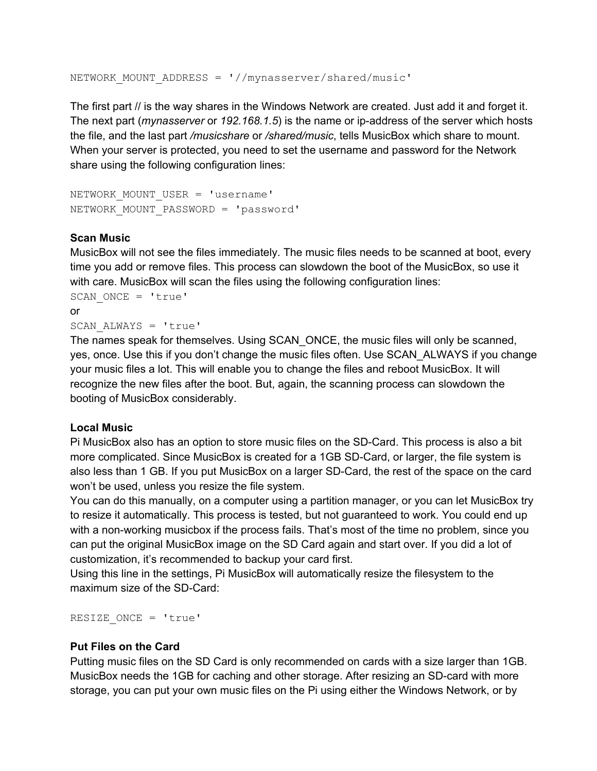NETWORK MOUNT ADDRESS = '//mynasserver/shared/music'

The first part // is the way shares in the Windows Network are created. Just add it and forget it. The next part (*mynasserver* or 192.168.1.5) is the name or ip-address of the server which hosts the file, and the last part */musicshare* or */shared/music*, tells MusicBox which share to mount. When your server is protected, you need to set the username and password for the Network share using the following configuration lines:

NETWORK MOUNT USER = 'username' NETWORK\_MOUNT\_PASSWORD = 'password'

#### **Scan Music**

MusicBox will not see the files immediately. The music files needs to be scanned at boot, every time you add or remove files. This process can slowdown the boot of the MusicBox, so use it with care. MusicBox will scan the files using the following configuration lines:

```
SCAN ONCE = 'true'
or
SCAN_ALWAYS = 'true'
```
The names speak for themselves. Using SCAN\_ONCE, the music files will only be scanned, yes, once. Use this if you don't change the music files often. Use SCAN\_ALWAYS if you change your music files a lot. This will enable you to change the files and reboot MusicBox. It will recognize the new files after the boot. But, again, the scanning process can slowdown the booting of MusicBox considerably.

#### **Local Music**

Pi MusicBox also has an option to store music files on the SD-Card. This process is also a bit more complicated. Since MusicBox is created for a 1GB SD-Card, or larger, the file system is also less than 1 GB. If you put MusicBox on a larger SD-Card, the rest of the space on the card won't be used, unless you resize the file system.

You can do this manually, on a computer using a partition manager, or you can let MusicBox try to resize it automatically. This process is tested, but not guaranteed to work. You could end up with a non-working musicbox if the process fails. That's most of the time no problem, since you can put the original MusicBox image on the SD Card again and start over. If you did a lot of customization, it's recommended to backup your card first.

Using this line in the settings, Pi MusicBox will automatically resize the filesystem to the maximum size of the SD-Card:

RESIZE ONCE = 'true'

#### **Put Files on the Card**

Putting music files on the SD Card is only recommended on cards with a size larger than 1GB. MusicBox needs the 1GB for caching and other storage. After resizing an SD-card with more storage, you can put your own music files on the Pi using either the Windows Network, or by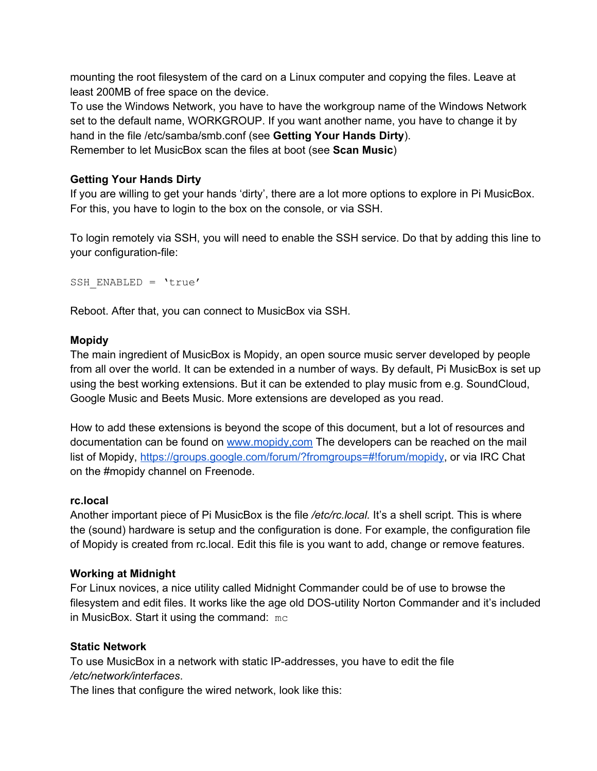mounting the root filesystem of the card on a Linux computer and copying the files. Leave at least 200MB of free space on the device.

To use the Windows Network, you have to have the workgroup name of the Windows Network set to the default name, WORKGROUP. If you want another name, you have to change it by hand in the file /etc/samba/smb.conf (see **Getting Your Hands Dirty**). Remember to let MusicBox scan the files at boot (see **Scan Music**)

## **Getting Your Hands Dirty**

If you are willing to get your hands 'dirty', there are a lot more options to explore in Pi MusicBox. For this, you have to login to the box on the console, or via SSH.

To login remotely via SSH, you will need to enable the SSH service. Do that by adding this line to your configuration-file:

SSH ENABLED = 'true'

Reboot. After that, you can connect to MusicBox via SSH.

#### **Mopidy**

The main ingredient of MusicBox is Mopidy, an open source music server developed by people from all over the world. It can be extended in a number of ways. By default, Pi MusicBox is set up using the best working extensions. But it can be extended to play music from e.g. SoundCloud, Google Music and Beets Music. More extensions are developed as you read.

How to add these extensions is beyond the scope of this document, but a lot of resources and documentation can be found on www.mopidy.com The developers can be reached on the mail list of Mopidy, [https://groups.google.com/forum/?fromgroups=#!forum/mopidy,](https://groups.google.com/forum/?fromgroups=#!forum/mopidy) or via IRC Chat on the #mopidy channel on Freenode.

## **rc.local**

Another important piece of Pi MusicBox is the file */etc/rc.local.* It's a shell script. This is where the (sound) hardware is setup and the configuration is done. For example, the configuration file of Mopidy is created from rc.local. Edit this file is you want to add, change or remove features.

## **Working at Midnight**

For Linux novices, a nice utility called Midnight Commander could be of use to browse the filesystem and edit files. It works like the age old DOS-utility Norton Commander and it's included in MusicBox. Start it using the command: mc

## **Static Network**

To use MusicBox in a network with static IP-addresses, you have to edit the file */etc/network/interfaces*.

The lines that configure the wired network, look like this: